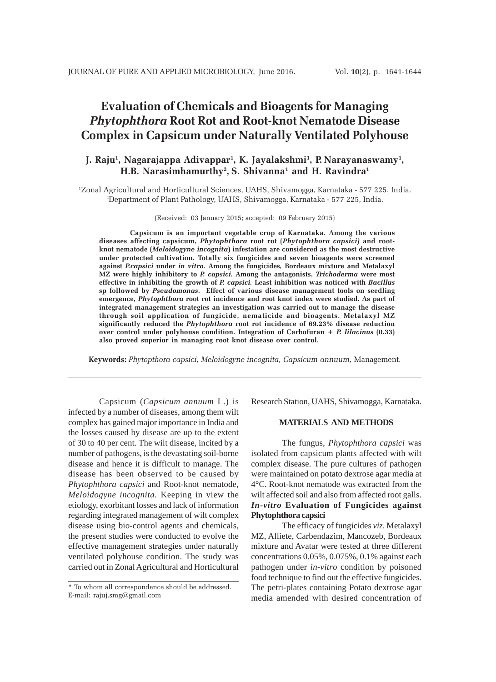# **Evaluation of Chemicals and Bioagents for Managing** *Phytophthora* **Root Rot and Root-knot Nematode Disease Complex in Capsicum under Naturally Ventilated Polyhouse**

# **J. Raju1 , Nagarajappa Adivappar1 , K. Jayalakshmi1 , P. Narayanaswamy1 , H.B. Narasimhamurthy2 , S. Shivanna1 and H. Ravindra1**

1 Zonal Agricultural and Horticultural Sciences, UAHS, Shivamogga, Karnataka - 577 225, India. 2 Department of Plant Pathology, UAHS, Shivamogga, Karnataka - 577 225, India.

(Received: 03 January 2015; accepted: 09 February 2015)

**Capsicum is an important vegetable crop of Karnataka. Among the various diseases affecting capsicum,** *Phytophthora* **root rot (***Phytophthora capsici)* **and rootknot nematode (***Meloidogyne incognita***) infestation are considered as the most destructive under protected cultivation. Totally six fungicides and seven bioagents were screened against** *P.capsici* **under** *in vitro.* **Among the fungicides***,* **Bordeaux mixture and Metalaxyl MZ were highly inhibitory to** *P. capsici.* **Among the antagonists,** *Trichoderma* **were most effective in inhibiting the growth of** *P. capsici.* **Least inhibition was noticed with** *Bacillus* **sp followed by** *Pseudomonas***. Effect of various disease management tools on seedling emergence,** *Phytophthora* **root rot incidence and root knot index were studied. As part of integrated management strategies an investigation was carried out to manage the disease through soil application of fungicide, nematicide and bioagents. Metalaxyl MZ significantly reduced the** *Phytophthora* **root rot incidence of 69.23% disease reduction over control under polyhouse condition. Integration of Carbofuran +** *P. lilacinus* **(0.33) also proved superior in managing root knot disease over control.**

**Keywords:** *Phytopthora capsici, Meloidogyne incognita, Capsicum annuum,* Management*.*

Capsicum (*Capsicum annuum* L.) is infected by a number of diseases, among them wilt complex has gained major importance in India and the losses caused by disease are up to the extent of 30 to 40 per cent. The wilt disease, incited by a number of pathogens, is the devastating soil-borne disease and hence it is difficult to manage. The disease has been observed to be caused by *Phytophthora capsici* and Root-knot nematode, *Meloidogyne incognita.* Keeping in view the etiology, exorbitant losses and lack of information regarding integrated management of wilt complex disease using bio-control agents and chemicals, the present studies were conducted to evolve the effective management strategies under naturally ventilated polyhouse condition. The study was carried out in Zonal Agricultural and Horticultural

Research Station, UAHS, Shivamogga, Karnataka.

## **MATERIALS AND METHODS**

The fungus, *Phytophthora capsici* was isolated from capsicum plants affected with wilt complex disease. The pure cultures of pathogen were maintained on potato dextrose agar media at 4°C. Root-knot nematode was extracted from the wilt affected soil and also from affected root galls. *In-vitro* **Evaluation of Fungicides against Phytophthora capsici**

The efficacy of fungicides *viz*. Metalaxyl MZ, Alliete, Carbendazim, Mancozeb, Bordeaux mixture and Avatar were tested at three different concentrations 0.05%, 0.075%, 0.1% against each pathogen under *in-vitro* condition by poisoned food technique to find out the effective fungicides. The petri-plates containing Potato dextrose agar media amended with desired concentration of

<sup>\*</sup> To whom all correspondence should be addressed. E-mail: rajuj.smg@gmail.com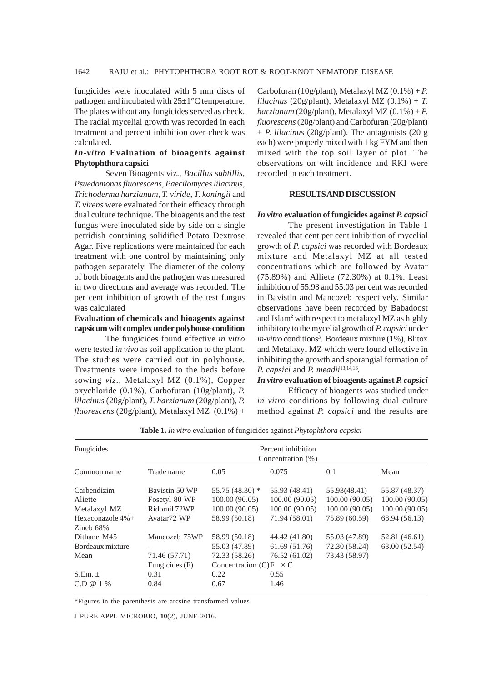fungicides were inoculated with 5 mm discs of pathogen and incubated with  $25\pm1\degree C$  temperature. The plates without any fungicides served as check. The radial mycelial growth was recorded in each treatment and percent inhibition over check was calculated.

# *In-vitro* **Evaluation of bioagents against Phytophthora capsici**

Seven Bioagents viz., *Bacillus subtillis, Psuedomonas fluorescens, Paecilomyces lilacinus, Trichoderma harzianum, T. viride, T. koningii* and *T. virens* were evaluated for their efficacy through dual culture technique. The bioagents and the test fungus were inoculated side by side on a single petridish containing solidified Potato Dextrose Agar. Five replications were maintained for each treatment with one control by maintaining only pathogen separately. The diameter of the colony of both bioagents and the pathogen was measured in two directions and average was recorded. The per cent inhibition of growth of the test fungus was calculated

# **Evaluation of chemicals and bioagents against capsicum wilt complex under polyhouse condition**

The fungicides found effective *in vitro* were tested *in vivo* as soil application to the plant. The studies were carried out in polyhouse. Treatments were imposed to the beds before sowing *viz*., Metalaxyl MZ (0.1%), Copper oxychloride (0.1%), Carbofuran (10g/plant), *P. lilacinus* (20g/plant), *T. harzianum* (20g/plant), *P. fluorescens* (20g/plant), Metalaxyl MZ (0.1%) +

Carbofuran (10g/plant), Metalaxyl MZ  $(0.1\%) + P$ . *lilacinus* (20g/plant), Metalaxyl MZ (0.1%) + *T. harzianum* (20g/plant), Metalaxyl MZ (0.1%) + *P. fluorescens* (20g/plant) and Carbofuran (20g/plant) + *P. lilacinus* (20g/plant). The antagonists (20 g each) were properly mixed with 1 kg FYM and then mixed with the top soil layer of plot. The observations on wilt incidence and RKI were recorded in each treatment.

# **RESULTS AND DISCUSSION**

#### *In vitro* **evaluation of fungicides against** *P. capsici*

The present investigation in Table 1 revealed that cent per cent inhibition of mycelial growth of *P. capsici* was recorded with Bordeaux mixture and Metalaxyl MZ at all tested concentrations which are followed by Avatar (75.89%) and Alliete (72.30%) at 0.1%. Least inhibition of 55.93 and 55.03 per cent was recorded in Bavistin and Mancozeb respectively. Similar observations have been recorded by Babadoost and Islam<sup>2</sup> with respect to metalaxyl MZ as highly inhibitory to the mycelial growth of *P. capsici* under in-vitro conditions<sup>3</sup>. Bordeaux mixture (1%), Blitox and Metalaxyl MZ which were found effective in inhibiting the growth and sporangial formation of *P. capsici* and *P. meadii*13,14,16*.*

## *In vitro* **evaluation of bioagents against** *P. capsici*

Efficacy of bioagents was studied under *in vitro* conditions by following dual culture method against *P. capsici* and the results are

| Fungicides       | Percent inhibition<br>Concentration (%) |                                    |               |                |               |  |  |  |
|------------------|-----------------------------------------|------------------------------------|---------------|----------------|---------------|--|--|--|
| Common name      | Trade name                              | 0.05                               | 0.075         | 0.1            | Mean          |  |  |  |
| Carbendizim      | Bavistin 50 WP                          | 55.75 (48.30) *                    | 55.93 (48.41) | 55.93(48.41)   | 55.87 (48.37) |  |  |  |
| Aliette          | Fosetyl 80 WP                           | 100.00(90.05)                      | 100.00(90.05) | 100.00 (90.05) | 100.00(90.05) |  |  |  |
| Metalaxyl MZ     | Ridomil 72WP                            | 100.00(90.05)                      | 100.00(90.05) | 100.00 (90.05) | 100.00(90.05) |  |  |  |
| Hexaconazole 4%+ | Avatar <sub>72</sub> WP                 | 58.99 (50.18)                      | 71.94 (58.01) | 75.89 (60.59)  | 68.94 (56.13) |  |  |  |
| Zineb $68\%$     |                                         |                                    |               |                |               |  |  |  |
| Dithane M45      | Mancozeb 75WP                           | 58.99 (50.18)                      | 44.42 (41.80) | 55.03 (47.89)  | 52.81 (46.61) |  |  |  |
| Bordeaux mixture |                                         | 55.03 (47.89)                      | 61.69 (51.76) | 72.30 (58.24)  | 63.00 (52.54) |  |  |  |
| Mean             | 71.46 (57.71)                           | 72.33 (58.26)                      | 76.52 (61.02) | 73.43 (58.97)  |               |  |  |  |
|                  | Fungicides $(F)$                        | Concentration $(C)F$<br>$\times C$ |               |                |               |  |  |  |
| $S.Em. \pm$      | 0.31                                    | 0.22                               | 0.55          |                |               |  |  |  |
| C.D @ 1 %        | 0.84                                    | 0.67                               | 1.46          |                |               |  |  |  |

**Table 1.** *In vitro* evaluation of fungicides against *Phytophthora capsici*

\*Figures in the parenthesis are arcsine transformed values

J PURE APPL MICROBIO*,* **10**(2), JUNE 2016.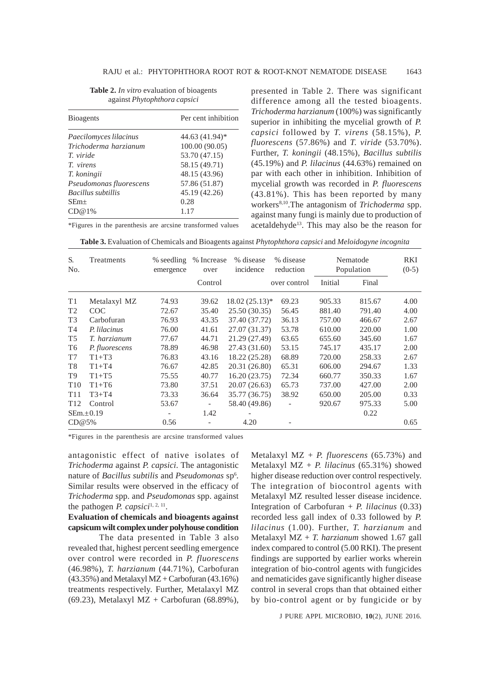| <b>Bioagents</b>          | Per cent inhibition |  |  |  |
|---------------------------|---------------------|--|--|--|
| Paecilomyces lilacinus    | 44.63 (41.94)*      |  |  |  |
| Trichoderma harzianum     | 100.00 (90.05)      |  |  |  |
| T. viride                 | 53.70 (47.15)       |  |  |  |
| <i>T. virens</i>          | 58.15 (49.71)       |  |  |  |
| T. koningii               | 48.15 (43.96)       |  |  |  |
| Pseudomonas fluorescens   | 57.86 (51.87)       |  |  |  |
| <b>Bacillus subtillis</b> | 45.19 (42.26)       |  |  |  |
| $SEm+$                    | 0.28                |  |  |  |
| CD@1%                     | 1.17                |  |  |  |

\*Figures in the parenthesis are arcsine transformed values

**Table 2.** *In vitro* evaluation of bioagents against *Phytophthora capsici*

presented in Table 2. There was significant difference among all the tested bioagents. *Trichoderma harzianum* (100%) was significantly superior in inhibiting the mycelial growth of *P. capsici* followed by *T. virens* (58.15%), *P. fluorescens* (57.86%) and *T. viride* (53.70%). Further, *T. koningii* (48.15%), *Bacillus subtilis* (45.19%) and *P. lilacinus* (44.63%) remained on par with each other in inhibition. Inhibition of mycelial growth was recorded in *P. fluorescens* (43.81%). This has been reported by many workers8,10.The antagonism of *Trichoderma* spp. against many fungi is mainly due to production of acetaldehyde13. This may also be the reason for

**Table 3.** Evaluation of Chemicals and Bioagents against *Phytophthora capsici* and *Meloidogyne incognita*

| S.<br>No.       | Treatments      | % seedling<br>emergence | % Increase<br>over<br>Control | % disease<br>incidence | % disease<br>reduction<br>over control | Nematode<br>Population |        | RKI<br>$(0-5)$ |
|-----------------|-----------------|-------------------------|-------------------------------|------------------------|----------------------------------------|------------------------|--------|----------------|
|                 |                 |                         |                               |                        |                                        | Initial                | Final  |                |
| T1              | Metalaxyl MZ    | 74.93                   | 39.62                         | $18.02(25.13)*$        | 69.23                                  | 905.33                 | 815.67 | 4.00           |
| T <sub>2</sub>  | <b>COC</b>      | 72.67                   | 35.40                         | 25.50 (30.35)          | 56.45                                  | 881.40                 | 791.40 | 4.00           |
| T <sub>3</sub>  | Carbofuran      | 76.93                   | 43.35                         | 37.40 (37.72)          | 36.13                                  | 757.00                 | 466.67 | 2.67           |
| T <sub>4</sub>  | P. lilacinus    | 76.00                   | 41.61                         | 27.07 (31.37)          | 53.78                                  | 610.00                 | 220.00 | 1.00           |
| T <sub>5</sub>  | T. harzianum    | 77.67                   | 44.71                         | 21.29 (27.49)          | 63.65                                  | 655.60                 | 345.60 | 1.67           |
| T <sub>6</sub>  | P. fluorescens  | 78.89                   | 46.98                         | 27.43 (31.60)          | 53.15                                  | 745.17                 | 435.17 | 2.00           |
| T7              | $T1+T3$         | 76.83                   | 43.16                         | 18.22 (25.28)          | 68.89                                  | 720.00                 | 258.33 | 2.67           |
| T <sub>8</sub>  | $T1+T4$         | 76.67                   | 42.85                         | 20.31 (26.80)          | 65.31                                  | 606.00                 | 294.67 | 1.33           |
| T <sub>9</sub>  | $T1+T5$         | 75.55                   | 40.77                         | 16.20(23.75)           | 72.34                                  | 660.77                 | 350.33 | 1.67           |
| T <sub>10</sub> | $T1+T6$         | 73.80                   | 37.51                         | 20.07 (26.63)          | 65.73                                  | 737.00                 | 427.00 | 2.00           |
| T <sub>11</sub> | $T3+T4$         | 73.33                   | 36.64                         | 35.77 (36.75)          | 38.92                                  | 650.00                 | 205.00 | 0.33           |
| T <sub>12</sub> | Control         | 53.67                   | $\overline{\phantom{a}}$      | 58.40 (49.86)          |                                        | 920.67                 | 975.33 | 5.00           |
|                 | $SEm. \pm 0.19$ |                         | 1.42                          |                        |                                        |                        | 0.22   |                |
| CD@5%           |                 | 0.56                    |                               | 4.20                   |                                        |                        |        | 0.65           |

\*Figures in the parenthesis are arcsine transformed values

antagonistic effect of native isolates of *Trichoderma* against *P. capsici*. The antagonistic nature of *Bacillus subtilis* and *Pseudomonas* sp6 . Similar results were observed in the efficacy of *Trichoderma* spp. and *Pseudomonas* spp. against the pathogen *P. capsici*<sup>1, 2, 11</sup>.

**Evaluation of chemicals and bioagents against capsicum wilt complex under polyhouse condition**

The data presented in Table 3 also revealed that, highest percent seedling emergence over control were recorded in *P. fluorescens* (46.98%), *T. harzianum* (44.71%), Carbofuran  $(43.35\%)$  and Metalaxyl MZ + Carbofuran  $(43.16\%)$ treatments respectively. Further, Metalaxyl MZ (69.23), Metalaxyl MZ + Carbofuran (68.89%),

Metalaxyl MZ + *P. fluorescens* (65.73%) and Metalaxyl MZ + *P. lilacinus* (65.31%) showed higher disease reduction over control respectively. The integration of biocontrol agents with Metalaxyl MZ resulted lesser disease incidence. Integration of Carbofuran + *P. lilacinus* (0.33) recorded less gall index of 0.33 followed by *P. lilacinus* (1.00). Further, *T. harzianum* and Metalaxyl MZ + *T. harzianum* showed 1.67 gall index compared to control (5.00 RKI). The present findings are supported by earlier works wherein integration of bio-control agents with fungicides and nematicides gave significantly higher disease control in several crops than that obtained either by bio-control agent or by fungicide or by

J PURE APPL MICROBIO*,* **10**(2), JUNE 2016.